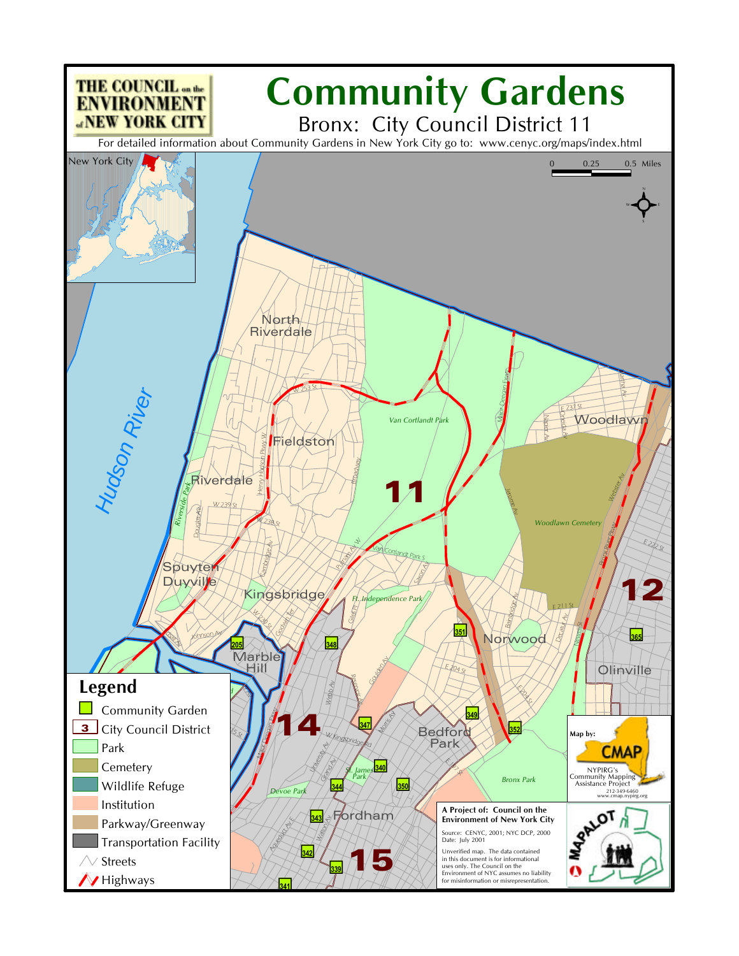